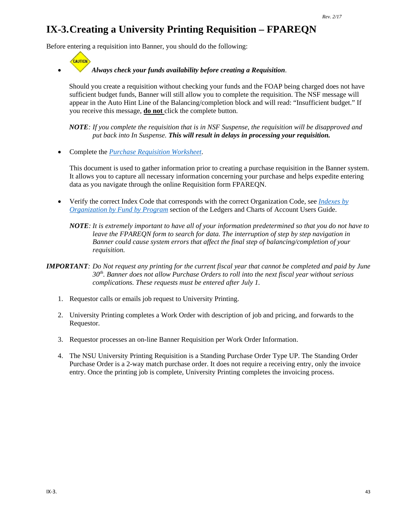# **IX-3.Creating a University Printing Requisition – FPAREQN**

Before entering a requisition into Banner, you should do the following:

CAUTION

#### • *Always check your funds availability before creating a Requisition*.

Should you create a requisition without checking your funds and the FOAP being charged does not have sufficient budget funds, Banner will still allow you to complete the requisition. The NSF message will appear in the Auto Hint Line of the Balancing/completion block and will read: "Insufficient budget." If you receive this message, **do not** click the complete button.

*NOTE: If you complete the requisition that is in NSF Suspense, the requisition will be disapproved and put back into In Suspense. This will result in delays in processing your requisition.*

• Complete the *[Purchase Requisition Worksheet](http://businessaffairs.nsula.edu/assets/banner/User-Docs-Forms--Attachments/G.-Purchasing/8.-Banner-Requisition-Worksheet.pdf)*.

This document is used to gather information prior to creating a purchase requisition in the Banner system. It allows you to capture all necessary information concerning your purchase and helps expedite entering data as you navigate through the online Requisition form FPAREQN.

- Verify the correct Index Code that corresponds with the correct Organization Code, see *[Indexes by](http://businessaffairs.nsula.edu/ii-banner-finance-ledgers-and-chart-of-accounts/)  [Organization by Fund by Program](http://businessaffairs.nsula.edu/ii-banner-finance-ledgers-and-chart-of-accounts/)* section of the Ledgers and Charts of Account Users Guide.
	- *NOTE: It is extremely important to have all of your information predetermined so that you do not have to leave the FPAREQN form to search for data. The interruption of step by step navigation in Banner could cause system errors that affect the final step of balancing/completion of your requisition.*
- *IMPORTANT: Do Not request any printing for the current fiscal year that cannot be completed and paid by June 30th. Banner does not allow Purchase Orders to roll into the next fiscal year without serious complications. These requests must be entered after July 1.*
	- 1. Requestor calls or emails job request to University Printing.
	- 2. University Printing completes a Work Order with description of job and pricing, and forwards to the Requestor.
	- 3. Requestor processes an on-line Banner Requisition per Work Order Information.
	- 4. The NSU University Printing Requisition is a Standing Purchase Order Type UP. The Standing Order Purchase Order is a 2-way match purchase order. It does not require a receiving entry, only the invoice entry. Once the printing job is complete, University Printing completes the invoicing process.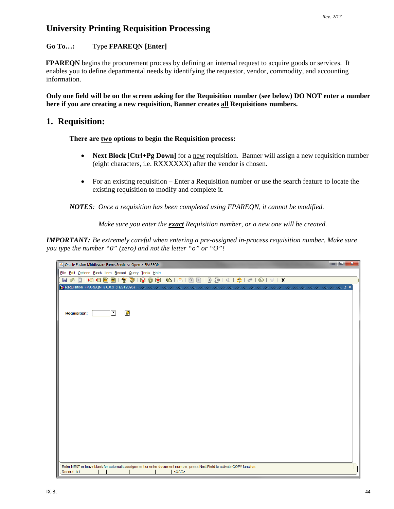## **University Printing Requisition Processing**

#### **Go To…:** Type **FPAREQN [Enter]**

**FPAREQN** begins the procurement process by defining an internal request to acquire goods or services. It enables you to define departmental needs by identifying the requestor, vendor, commodity, and accounting information.

**Only one field will be on the screen asking for the Requisition number (see below) DO NOT enter a number here if you are creating a new requisition, Banner creates all Requisitions numbers.** 

### **1. Requisition:**

#### **There are two options to begin the Requisition process:**

- **Next Block [Ctrl+Pg Down]** for a new requisition. Banner will assign a new requisition number (eight characters, i.e. RXXXXXX) after the vendor is chosen.
- For an existing requisition Enter a Requisition number or use the search feature to locate the existing requisition to modify and complete it.

*NOTES: Once a requisition has been completed using FPAREQN, it cannot be modified.* 

*Make sure you enter the exact Requisition number, or a new one will be created.*

*IMPORTANT: Be extremely careful when entering a pre-assigned in-process requisition number. Make sure you type the number "0" (zero) and not the letter "o" or "O"!*

| Dracle Fusion Middleware Forms Services: Open > FPAREQN                                                                  | $\begin{array}{c c c c c c} \hline \multicolumn{3}{c }{\mathbf{C}} & \multicolumn{3}{c }{\mathbf{C}} \end{array}$<br>$\mathbf{x}$ |
|--------------------------------------------------------------------------------------------------------------------------|-----------------------------------------------------------------------------------------------------------------------------------|
| File Edit Options Block Item Record Query Tools Help                                                                     |                                                                                                                                   |
|                                                                                                                          |                                                                                                                                   |
|                                                                                                                          |                                                                                                                                   |
|                                                                                                                          |                                                                                                                                   |
|                                                                                                                          |                                                                                                                                   |
| $\blacksquare$<br>$\left[ \rule{0pt}{10pt}\right.$<br><b>Requisition:</b>                                                |                                                                                                                                   |
|                                                                                                                          |                                                                                                                                   |
|                                                                                                                          |                                                                                                                                   |
|                                                                                                                          |                                                                                                                                   |
|                                                                                                                          |                                                                                                                                   |
|                                                                                                                          |                                                                                                                                   |
|                                                                                                                          |                                                                                                                                   |
|                                                                                                                          |                                                                                                                                   |
|                                                                                                                          |                                                                                                                                   |
|                                                                                                                          |                                                                                                                                   |
|                                                                                                                          |                                                                                                                                   |
|                                                                                                                          |                                                                                                                                   |
|                                                                                                                          |                                                                                                                                   |
|                                                                                                                          |                                                                                                                                   |
|                                                                                                                          |                                                                                                                                   |
|                                                                                                                          |                                                                                                                                   |
|                                                                                                                          |                                                                                                                                   |
|                                                                                                                          |                                                                                                                                   |
|                                                                                                                          |                                                                                                                                   |
|                                                                                                                          |                                                                                                                                   |
| Enter NEXT or leave blank for automatic assignment or enter document number; press Next Field to activate COPY function. |                                                                                                                                   |
| <0SC><br>Record: 1/1<br>u.                                                                                               |                                                                                                                                   |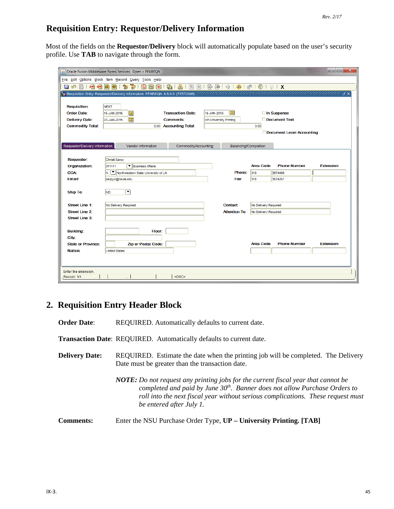## **Requisition Entry: Requestor/Delivery Information**

Most of the fields on the **Requestor/Delivery** block will automatically populate based on the user's security profile. Use **TAB** to navigate through the form.

| File Edit Options Block Item Record Query Tools Help<br>1 中 每 1 余 1 争 1 命 1 ® 1 ® 1 ? 1 X<br>昌<br>$\bigoplus$<br>$\vert 2 \rangle$<br>$\rightarrow$<br>相相<br>淘<br>`?  <br>$\mathbb{R}$<br>同 X<br>Bì<br>Ð<br>日の<br>目<br>errendende de de la s<br><b>Requisition:</b><br><b>NEXT</b><br>⊞<br><b>Transaction Date:</b><br>□ In Suspense<br><b>Order Date:</b><br>匣<br>15-JAN-2015<br>15-JAN-2015<br>匣<br>Document Text<br><b>Delivery Date:</b><br><b>Comments:</b><br>22-JAN-2015<br><b>UP-University Printing</b><br><b>Commodity Total:</b><br>0.00 Accounting Total:<br>0.00<br>Document Level Accounting<br>Requestor/Delivery Information<br>Vendor Information<br>Commodity/Accounting<br>Balancing/Completion<br><b>Requestor:</b><br>Christi Sarpy<br>▼ Business Affairs<br><b>Area Code</b><br><b>Phone Number</b><br><b>Extension</b><br>Organization:<br>311111<br>N       Northwestern State University of LA<br>Phone:<br><b>COA:</b><br>318<br>3574496<br>318<br>3574257<br>Email:<br>sarpyc@nsula.edu<br>Fax:<br>О<br><b>Ship To:</b><br><b>ND</b><br>Street Line 1:<br>Contact:<br>No Delivery Required<br>No Delivery Required<br><b>Street Line 2:</b><br><b>Attention To:</b><br>No Delivery Required<br><b>Street Line 3:</b><br><b>Building:</b><br>Floor:<br>City:<br><b>Area Code</b><br><b>Phone Number</b><br><b>Extension</b><br><b>State or Province:</b><br><b>Zip or Postal Code:</b><br>Nation:<br><b>United States</b> | S Oracle Fusion Middleware Forms Services: Open > FPAREQN |  |  | o el<br>$\mathbf{x}$ |
|-----------------------------------------------------------------------------------------------------------------------------------------------------------------------------------------------------------------------------------------------------------------------------------------------------------------------------------------------------------------------------------------------------------------------------------------------------------------------------------------------------------------------------------------------------------------------------------------------------------------------------------------------------------------------------------------------------------------------------------------------------------------------------------------------------------------------------------------------------------------------------------------------------------------------------------------------------------------------------------------------------------------------------------------------------------------------------------------------------------------------------------------------------------------------------------------------------------------------------------------------------------------------------------------------------------------------------------------------------------------------------------------------------------------------------------------------------|-----------------------------------------------------------|--|--|----------------------|
|                                                                                                                                                                                                                                                                                                                                                                                                                                                                                                                                                                                                                                                                                                                                                                                                                                                                                                                                                                                                                                                                                                                                                                                                                                                                                                                                                                                                                                                     |                                                           |  |  |                      |
|                                                                                                                                                                                                                                                                                                                                                                                                                                                                                                                                                                                                                                                                                                                                                                                                                                                                                                                                                                                                                                                                                                                                                                                                                                                                                                                                                                                                                                                     |                                                           |  |  |                      |
|                                                                                                                                                                                                                                                                                                                                                                                                                                                                                                                                                                                                                                                                                                                                                                                                                                                                                                                                                                                                                                                                                                                                                                                                                                                                                                                                                                                                                                                     |                                                           |  |  |                      |
|                                                                                                                                                                                                                                                                                                                                                                                                                                                                                                                                                                                                                                                                                                                                                                                                                                                                                                                                                                                                                                                                                                                                                                                                                                                                                                                                                                                                                                                     |                                                           |  |  |                      |
|                                                                                                                                                                                                                                                                                                                                                                                                                                                                                                                                                                                                                                                                                                                                                                                                                                                                                                                                                                                                                                                                                                                                                                                                                                                                                                                                                                                                                                                     |                                                           |  |  |                      |
|                                                                                                                                                                                                                                                                                                                                                                                                                                                                                                                                                                                                                                                                                                                                                                                                                                                                                                                                                                                                                                                                                                                                                                                                                                                                                                                                                                                                                                                     |                                                           |  |  |                      |
|                                                                                                                                                                                                                                                                                                                                                                                                                                                                                                                                                                                                                                                                                                                                                                                                                                                                                                                                                                                                                                                                                                                                                                                                                                                                                                                                                                                                                                                     |                                                           |  |  |                      |
|                                                                                                                                                                                                                                                                                                                                                                                                                                                                                                                                                                                                                                                                                                                                                                                                                                                                                                                                                                                                                                                                                                                                                                                                                                                                                                                                                                                                                                                     |                                                           |  |  |                      |
|                                                                                                                                                                                                                                                                                                                                                                                                                                                                                                                                                                                                                                                                                                                                                                                                                                                                                                                                                                                                                                                                                                                                                                                                                                                                                                                                                                                                                                                     |                                                           |  |  |                      |
|                                                                                                                                                                                                                                                                                                                                                                                                                                                                                                                                                                                                                                                                                                                                                                                                                                                                                                                                                                                                                                                                                                                                                                                                                                                                                                                                                                                                                                                     |                                                           |  |  |                      |
|                                                                                                                                                                                                                                                                                                                                                                                                                                                                                                                                                                                                                                                                                                                                                                                                                                                                                                                                                                                                                                                                                                                                                                                                                                                                                                                                                                                                                                                     |                                                           |  |  |                      |
|                                                                                                                                                                                                                                                                                                                                                                                                                                                                                                                                                                                                                                                                                                                                                                                                                                                                                                                                                                                                                                                                                                                                                                                                                                                                                                                                                                                                                                                     |                                                           |  |  |                      |
|                                                                                                                                                                                                                                                                                                                                                                                                                                                                                                                                                                                                                                                                                                                                                                                                                                                                                                                                                                                                                                                                                                                                                                                                                                                                                                                                                                                                                                                     |                                                           |  |  |                      |
|                                                                                                                                                                                                                                                                                                                                                                                                                                                                                                                                                                                                                                                                                                                                                                                                                                                                                                                                                                                                                                                                                                                                                                                                                                                                                                                                                                                                                                                     |                                                           |  |  |                      |
|                                                                                                                                                                                                                                                                                                                                                                                                                                                                                                                                                                                                                                                                                                                                                                                                                                                                                                                                                                                                                                                                                                                                                                                                                                                                                                                                                                                                                                                     |                                                           |  |  |                      |
|                                                                                                                                                                                                                                                                                                                                                                                                                                                                                                                                                                                                                                                                                                                                                                                                                                                                                                                                                                                                                                                                                                                                                                                                                                                                                                                                                                                                                                                     |                                                           |  |  |                      |
|                                                                                                                                                                                                                                                                                                                                                                                                                                                                                                                                                                                                                                                                                                                                                                                                                                                                                                                                                                                                                                                                                                                                                                                                                                                                                                                                                                                                                                                     |                                                           |  |  |                      |
|                                                                                                                                                                                                                                                                                                                                                                                                                                                                                                                                                                                                                                                                                                                                                                                                                                                                                                                                                                                                                                                                                                                                                                                                                                                                                                                                                                                                                                                     |                                                           |  |  |                      |
|                                                                                                                                                                                                                                                                                                                                                                                                                                                                                                                                                                                                                                                                                                                                                                                                                                                                                                                                                                                                                                                                                                                                                                                                                                                                                                                                                                                                                                                     |                                                           |  |  |                      |
|                                                                                                                                                                                                                                                                                                                                                                                                                                                                                                                                                                                                                                                                                                                                                                                                                                                                                                                                                                                                                                                                                                                                                                                                                                                                                                                                                                                                                                                     |                                                           |  |  |                      |
|                                                                                                                                                                                                                                                                                                                                                                                                                                                                                                                                                                                                                                                                                                                                                                                                                                                                                                                                                                                                                                                                                                                                                                                                                                                                                                                                                                                                                                                     |                                                           |  |  |                      |
|                                                                                                                                                                                                                                                                                                                                                                                                                                                                                                                                                                                                                                                                                                                                                                                                                                                                                                                                                                                                                                                                                                                                                                                                                                                                                                                                                                                                                                                     |                                                           |  |  |                      |
|                                                                                                                                                                                                                                                                                                                                                                                                                                                                                                                                                                                                                                                                                                                                                                                                                                                                                                                                                                                                                                                                                                                                                                                                                                                                                                                                                                                                                                                     |                                                           |  |  |                      |
|                                                                                                                                                                                                                                                                                                                                                                                                                                                                                                                                                                                                                                                                                                                                                                                                                                                                                                                                                                                                                                                                                                                                                                                                                                                                                                                                                                                                                                                     |                                                           |  |  |                      |
|                                                                                                                                                                                                                                                                                                                                                                                                                                                                                                                                                                                                                                                                                                                                                                                                                                                                                                                                                                                                                                                                                                                                                                                                                                                                                                                                                                                                                                                     |                                                           |  |  |                      |
|                                                                                                                                                                                                                                                                                                                                                                                                                                                                                                                                                                                                                                                                                                                                                                                                                                                                                                                                                                                                                                                                                                                                                                                                                                                                                                                                                                                                                                                     |                                                           |  |  |                      |
|                                                                                                                                                                                                                                                                                                                                                                                                                                                                                                                                                                                                                                                                                                                                                                                                                                                                                                                                                                                                                                                                                                                                                                                                                                                                                                                                                                                                                                                     |                                                           |  |  |                      |
| Enter the extension.<br><osc><br/>Record: 1/1</osc>                                                                                                                                                                                                                                                                                                                                                                                                                                                                                                                                                                                                                                                                                                                                                                                                                                                                                                                                                                                                                                                                                                                                                                                                                                                                                                                                                                                                 |                                                           |  |  |                      |

## **2. Requisition Entry Header Block**

**Order Date:** REQUIRED. Automatically defaults to current date.

**Transaction Date**: REQUIRED. Automatically defaults to current date.

**Delivery Date:** REQUIRED. Estimate the date when the printing job will be completed. The Delivery Date must be greater than the transaction date.

> *NOTE: Do not request any printing jobs for the current fiscal year that cannot be completed and paid by June 30th. Banner does not allow Purchase Orders to roll into the next fiscal year without serious complications. These request must be entered after July 1.*

**Comments:** Enter the NSU Purchase Order Type, **UP – University Printing. [TAB]**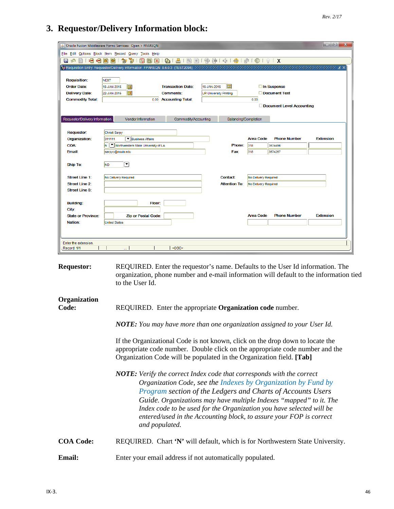#### **3. Requestor/Delivery Information block:**

|                                |                                                                           |                           |                               |                      |                         |                           | lo el<br>$\mathbf{x}$ |
|--------------------------------|---------------------------------------------------------------------------|---------------------------|-------------------------------|----------------------|-------------------------|---------------------------|-----------------------|
|                                | Sol Oracle Fusion Middleware Forms Services: Open > FPAREQN               |                           |                               |                      |                         |                           |                       |
|                                | File Edit Options Block Item Record Query Tools Help                      |                           |                               |                      |                         |                           |                       |
| ⋗⊟<br>- ∢⊟<br>日心               | 衙<br>E)<br>御<br>$\mathbb{R}$<br>lo)                                       | 8191818181919141414101019 |                               |                      |                         |                           |                       |
|                                |                                                                           |                           |                               |                      |                         |                           |                       |
|                                |                                                                           |                           |                               |                      |                         |                           |                       |
| <b>Requisition:</b>            | <b>NEXT</b>                                                               |                           |                               |                      |                         |                           |                       |
| <b>Order Date:</b>             | 匣<br>15-JAN-2015                                                          | <b>Transaction Date:</b>  | 15-JAN-2015                   | E                    |                         | In Suspense               |                       |
| <b>Delivery Date:</b>          | 圃<br>22-JAN-2015                                                          | <b>Comments:</b>          | <b>UP-University Printing</b> |                      |                         | Document Text             |                       |
| <b>Commodity Total:</b>        |                                                                           | 0.00 Accounting Total:    |                               |                      | 0.00                    |                           |                       |
|                                |                                                                           |                           |                               |                      |                         | Document Level Accounting |                       |
|                                |                                                                           |                           |                               |                      |                         |                           |                       |
| Requestor/Delivery Information | Vendor Information                                                        | Commodity/Accounting      |                               | Balancing/Completion |                         |                           |                       |
|                                |                                                                           |                           |                               |                      |                         |                           |                       |
| <b>Requestor:</b>              | Christi Sarpy                                                             |                           |                               |                      |                         |                           |                       |
| Organization:                  | Business Affairs<br>311111                                                |                           |                               | Phone:               | <b>Area Code</b><br>318 | <b>Phone Number</b>       | <b>Extension</b>      |
| <b>COA:</b><br>Email:          | V Northwestern State University of LA<br>$\mathsf{N}$<br>sarpyc@nsula.edu |                           |                               | Fax:                 | 318                     | 3574496<br>3574257        |                       |
|                                |                                                                           |                           |                               |                      |                         |                           |                       |
| <b>Ship To:</b>                | $\blacktriangledown$<br><b>ND</b>                                         |                           |                               |                      |                         |                           |                       |
|                                |                                                                           |                           |                               |                      |                         |                           |                       |
| <b>Street Line 1:</b>          | No Delivery Required                                                      |                           |                               | Contact:             | No Delivery Required    |                           |                       |
| <b>Street Line 2:</b>          |                                                                           |                           |                               | <b>Attention To:</b> | No Delivery Required    |                           |                       |
| <b>Street Line 3:</b>          |                                                                           |                           |                               |                      |                         |                           |                       |
|                                |                                                                           |                           |                               |                      |                         |                           |                       |
| <b>Building:</b>               | Floor:                                                                    |                           |                               |                      |                         |                           |                       |
| City:                          |                                                                           |                           |                               |                      |                         |                           |                       |
| <b>State or Province:</b>      | <b>Zip or Postal Code:</b>                                                |                           |                               |                      | <b>Area Code</b>        | <b>Phone Number</b>       | <b>Extension</b>      |
| Nation:                        | <b>United States</b>                                                      |                           |                               |                      |                         |                           |                       |
|                                |                                                                           |                           |                               |                      |                         |                           |                       |
|                                |                                                                           |                           |                               |                      |                         |                           |                       |
| Enter the extension.           |                                                                           |                           |                               |                      |                         |                           |                       |
| Record: 1/1                    |                                                                           | <osc></osc>               |                               |                      |                         |                           |                       |
|                                |                                                                           |                           |                               |                      |                         |                           |                       |

**Requestor:** REQUIRED. Enter the requestor's name. Defaults to the User Id information. The organization, phone number and e-mail information will default to the information tied to the User Id.

# **Organization**

**Code:** REQUIRED. Enter the appropriate **Organization code** number.

*NOTE: You may have more than one organization assigned to your User Id.*

If the Organizational Code is not known, click on the drop down to locate the appropriate code number. Double click on the appropriate code number and the Organization Code will be populated in the Organization field. **[Tab]**

*NOTE: Verify the correct Index code that corresponds with the correct Organization Code, see the Indexes by Organization by Fund by Program section of the Ledgers and Charts of Accounts Users Guide. Organizations may have multiple Indexes "mapped" to it. The Index code to be used for the Organization you have selected will be entered/used in the Accounting block, to assure your FOP is correct and populated.*

**COA Code:** REQUIRED. Chart **'N'** will default, which is for Northwestern State University.

**Email:** Enter your email address if not automatically populated.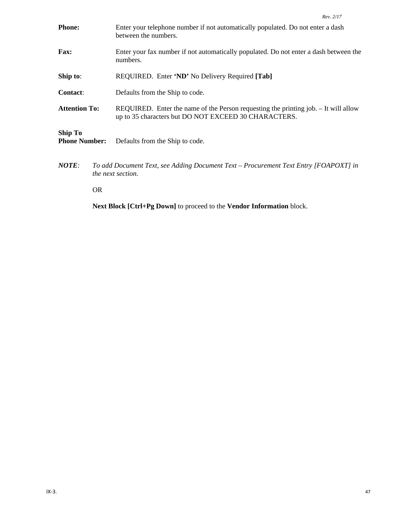| <b>Phone:</b>                          |           | Enter your telephone number if not automatically populated. Do not enter a dash<br>between the numbers.                                     |
|----------------------------------------|-----------|---------------------------------------------------------------------------------------------------------------------------------------------|
| <b>Fax:</b>                            |           | Enter your fax number if not automatically populated. Do not enter a dash between the<br>numbers.                                           |
| Ship to:                               |           | REQUIRED. Enter 'ND' No Delivery Required [Tab]                                                                                             |
| Contact:                               |           | Defaults from the Ship to code.                                                                                                             |
| <b>Attention To:</b>                   |           | REQUIRED. Enter the name of the Person requesting the printing job. - It will allow<br>up to 35 characters but DO NOT EXCEED 30 CHARACTERS. |
| <b>Ship To</b><br><b>Phone Number:</b> |           | Defaults from the Ship to code.                                                                                                             |
| <b>NOTE:</b>                           |           | To add Document Text, see Adding Document Text – Procurement Text Entry [FOAPOXT] in<br><i>the next section.</i>                            |
|                                        | <b>OR</b> |                                                                                                                                             |

**Next Block [Ctrl+Pg Down]** to proceed to the **Vendor Information** block.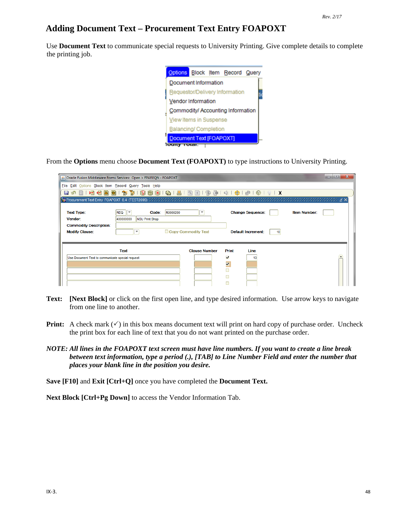## **Adding Document Text – Procurement Text Entry FOAPOXT**

Use **Document Text** to communicate special requests to University Printing. Give complete details to complete the printing job.



From the **Options** menu choose **Document Text (FOAPOXT)** to type instructions to University Printing.

|                                                                                        | S Oracle Fusion Middleware Forms Services: Open > FPAREQN - FOAPOXT                        |                                                             |                                                                               |    |                     | o e |
|----------------------------------------------------------------------------------------|--------------------------------------------------------------------------------------------|-------------------------------------------------------------|-------------------------------------------------------------------------------|----|---------------------|-----|
| File Edit Options Block Item Record Query Tools Help                                   |                                                                                            |                                                             |                                                                               |    |                     |     |
| 目の                                                                                     |                                                                                            |                                                             |                                                                               |    |                     |     |
|                                                                                        |                                                                                            |                                                             |                                                                               |    |                     |     |
| <b>Text Type:</b><br>Vendor:<br><b>Commodity Description:</b><br><b>Modify Clause:</b> | <b>REQ</b><br>╹<br>Code:<br>400000000<br><b>NSU Print Shop</b><br>$\overline{\phantom{a}}$ | R0000200<br>$\overline{\phantom{a}}$<br>Copy Commodity Text | <b>Change Sequence:</b><br><b>Default Increment:</b>                          | 10 | <b>Item Number:</b> |     |
| Use Document Text to communicate special request                                       | <b>Text</b>                                                                                | <b>Clause Number</b>                                        | Print<br>Line<br>$\overline{\mathbf{v}}$<br>$\overline{\mathbf{v}}$<br>г<br>Г |    |                     |     |

- **Text: [Next Block]** or click on the first open line, and type desired information. Use arrow keys to navigate from one line to another.
- **Print:** A check mark  $(\checkmark)$  in this box means document text will print on hard copy of purchase order. Uncheck the print box for each line of text that you do not want printed on the purchase order.
- *NOTE: All lines in the FOAPOXT text screen must have line numbers. If you want to create a line break between text information, type a period (.), [TAB] to Line Number Field and enter the number that places your blank line in the position you desire.*

**Save [F10]** and **Exit [Ctrl+Q]** once you have completed the **Document Text.**

**Next Block [Ctrl+Pg Down]** to access the Vendor Information Tab.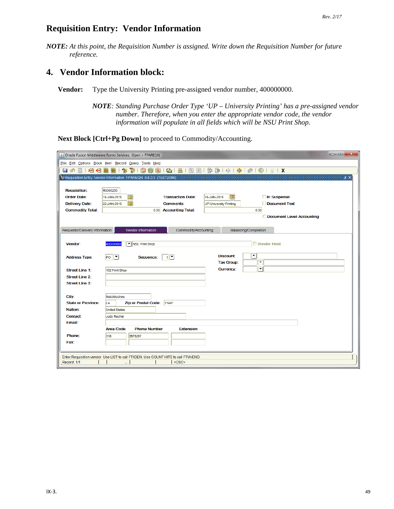#### **Requisition Entry: Vendor Information**

*NOTE: At this point, the Requisition Number is assigned. Write down the Requisition Number for future reference.*

## **4. Vendor Information block:**

**Vendor:** Type the University Printing pre-assigned vendor number, 400000000.

*NOTE: Standing Purchase Order Type 'UP – University Printing' has a pre-assigned vendor number. Therefore, when you enter the appropriate vendor code, the vendor information will populate in all fields which will be NSU Print Shop.*

**Next Block [Ctrl+Pg Down]** to proceed to Commodity/Accounting.

|                                | $= 0$<br>$\mathbf{x}$<br>Oracle Fusion Middleware Forms Services: Open > FPAREQN                    |
|--------------------------------|-----------------------------------------------------------------------------------------------------|
|                                | File Edit Options Block Item Record Query Tools Help                                                |
| 相相固<br>日の                      | 昌<br>图图19字串10010101区<br>$P$ ( $P$ ) $P$ ) $P$<br>$\bigoplus$ (<br>匍<br>ÐÌ                           |
|                                | http://www.php?cometh.com/news/2002/2003                                                            |
|                                |                                                                                                     |
| <b>Requisition:</b>            | R0000200                                                                                            |
| <b>Order Date:</b>             | E<br><b>Transaction Date:</b><br>15-JAN-2015<br>In Suspense<br>15-JAN-2015<br>囲                     |
| <b>Delivery Date:</b>          | $\blacksquare$<br>Document Text<br>22-JAN-2015<br><b>Comments:</b><br><b>UP-University Printing</b> |
| <b>Commodity Total:</b>        | <b>Accounting Total:</b><br>0.00<br>0.00<br>Document Level Accounting                               |
|                                |                                                                                                     |
| Requestor/Delivery Information | Vendor Information<br>Commodity/Accounting<br>Balancing/Completion                                  |
|                                |                                                                                                     |
| Vendor:                        | NSU Print Shop<br>□ Vendor Hold<br>400000000                                                        |
|                                |                                                                                                     |
| <b>Address Type:</b>           | ा<br><b>Discount:</b><br>$P^o$ $\boxed{\bullet}$<br>$\mathbf{1}$ $\mathbf{v}$<br>Sequence:          |
|                                | $\overline{\mathbf{v}}$<br><b>Tax Group:</b>                                                        |
| <b>Street Line 1:</b>          | ▾<br><b>Currency:</b><br>102 Print Shop                                                             |
| <b>Street Line 2:</b>          |                                                                                                     |
| <b>Street Line 3:</b>          |                                                                                                     |
| City:                          | Natchitoches                                                                                        |
| <b>State or Province:</b>      | <b>Zip or Postal Code:</b><br>71497<br>LA                                                           |
| Nation:                        | <b>United States</b>                                                                                |
| <b>Contact:</b>                | Judy Rachal                                                                                         |
| Email:                         |                                                                                                     |
|                                | <b>Area Code</b><br><b>Phone Number</b><br><b>Extension</b>                                         |
| Phone:                         | 318<br>3575297                                                                                      |
| Fax                            |                                                                                                     |
|                                |                                                                                                     |
|                                | Enter Requisition vendor. Use LIST to call FTIIDEN. Use COUNT HITS to call FTMVEND.                 |
| Record: 1/1                    | <0SC>                                                                                               |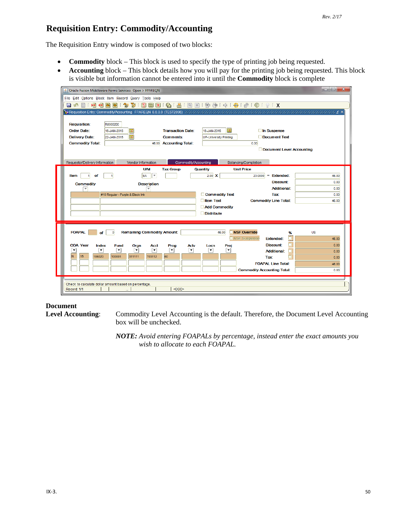## **Requisition Entry: Commodity/Accounting**

The Requisition Entry window is composed of two blocks:

- **Commodity** block This block is used to specify the type of printing job being requested.
- **Accounting** block This block details how you will pay for the printing job being requested. This block is visible but information cannot be entered into it until the **Commodity** block is complete

| Dracle Fusion Middleware Forms Services: Open > FPAREON<br>File Edit Options Block Item Record Query Tools Help<br>滑量<br>ਛ<br>匐<br>E)<br>a<br><b>Inch</b><br>目  | 寵<br>$\Box$                                                                                              |                                                                   |                                                                                                                                       | $\mathbf{x}$<br>$= 0$                 |
|-----------------------------------------------------------------------------------------------------------------------------------------------------------------|----------------------------------------------------------------------------------------------------------|-------------------------------------------------------------------|---------------------------------------------------------------------------------------------------------------------------------------|---------------------------------------|
|                                                                                                                                                                 |                                                                                                          |                                                                   |                                                                                                                                       |                                       |
| <b>Requisition:</b><br>R0000200<br><b>Order Date:</b><br>15-JAN-2015<br><b>Delivery Date:</b><br>22-JAN-2015<br><b>Commodity Total:</b>                         | $\blacksquare$<br><b>Transaction Date:</b><br>圃<br><b>Comments:</b><br><b>Accounting Total:</b><br>46.00 | 15-JAN-2015<br><b>UP-University Printing</b>                      | Œ<br>□ In Suspense<br>Document Text<br>0.00<br>Document Level Accounting                                                              |                                       |
| Requestor/Delivery Information                                                                                                                                  | Vendor Information                                                                                       | Commodity/Accounting                                              | Balancing/Completion                                                                                                                  |                                       |
| Item<br>of<br>1                                                                                                                                                 | <b>U/M</b><br><b>Tax Group</b><br>$\overline{\mathbf{v}}$<br>EA                                          | <b>Quantity</b><br>$2.00 \times$                                  | <b>Unit Price</b><br>Ξ<br><b>Extended:</b><br>23,0000                                                                                 | 46.00                                 |
| <b>Commodity</b><br>₹                                                                                                                                           | <b>Description</b><br>₹                                                                                  |                                                                   | Discount:<br><b>Additional:</b>                                                                                                       | 0.00<br>0.00                          |
| #10 Regular - Purple & Black Ink                                                                                                                                |                                                                                                          | Commodity Text<br>Item Text<br>Add Commodity<br><b>Distribute</b> | <b>Tax:</b><br><b>Commodity Line Total:</b>                                                                                           | 0.00<br>46.00                         |
| <b>FOAPAL</b><br>$\bf{0}$<br>Ωf                                                                                                                                 | <b>Remaining Commodity Amount:</b>                                                                       | 46.00                                                             | <b>NSF Override</b><br><b>NSF Suspense</b><br><b>Extended:</b>                                                                        | <b>US</b><br>%<br>46.00               |
| <b>COA Year</b><br><b>Index</b><br><b>Fund</b><br>$\overline{\phantom{a}}$<br>$\overline{\phantom{a}}$<br>$\blacktriangledown$<br>15<br>106020<br>IN.<br>100001 | Orgn<br><b>Acct</b><br>Prog<br>▼<br>$\overline{\phantom{0}}$<br>▼<br>703112<br>311111<br>60              | Actv<br>Locn<br>ନ<br>▼                                            | <b>Discount:</b><br>Proj<br>▾<br><b>Additional:</b><br><b>Tax:</b><br><b>FOAPAL Line Total:</b><br><b>Commodity Accounting Total:</b> | 0.00<br>0.00<br>0.00<br>46.00<br>0.00 |
| Check to calculate dollar amount based on percentage.<br>Record: 1/1                                                                                            | <0SC>                                                                                                    |                                                                   |                                                                                                                                       |                                       |

#### **Document**

**Level Accounting**: Commodity Level Accounting is the default. Therefore, the Document Level Accounting box will be unchecked.

> *NOTE: Avoid entering FOAPALs by percentage, instead enter the exact amounts you wish to allocate to each FOAPAL.*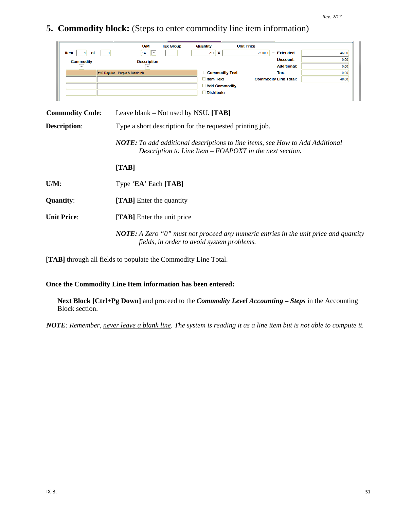**5. Commodity block:** (Steps to enter commodity line item information)

|   |                  | <b>U/M</b>                       | <b>Tax Group</b> | Quantity              | <b>Unit Price</b> |                              |       |
|---|------------------|----------------------------------|------------------|-----------------------|-------------------|------------------------------|-------|
|   | Item<br>of       | EA<br>$\overline{\phantom{a}}$   |                  | $2.00 \mathbf{X}$     | 23.0000           | $=$ Extended:                | 46.00 |
|   | <b>Commodity</b> | <b>Description</b>               |                  |                       |                   | Discount:                    | 0.00  |
|   |                  |                                  |                  |                       |                   | <b>Additional:</b>           | 0.00  |
|   |                  | #10 Regular - Purple & Black Ink |                  | <b>Commodity Text</b> |                   | Tax:                         | 0.00  |
|   |                  |                                  |                  | <b>Item Text</b>      |                   | <b>Commodity Line Total:</b> | 46.00 |
|   |                  |                                  |                  | <b>Add Commodity</b>  |                   |                              |       |
|   |                  |                                  |                  | <b>Distribute</b>     |                   |                              |       |
| ш |                  |                                  |                  |                       |                   |                              |       |

| <b>Commodity Code:</b> | Leave blank – Not used by NSU. $[TAB]$                                                                                                          |
|------------------------|-------------------------------------------------------------------------------------------------------------------------------------------------|
| <b>Description:</b>    | Type a short description for the requested printing job.                                                                                        |
|                        | <b>NOTE:</b> To add additional descriptions to line items, see How to Add Additional<br>Description to Line Item – FOAPOXT in the next section. |
|                        | [TAB]                                                                                                                                           |
| $U/M$ :                | Type 'EA' Each [TAB]                                                                                                                            |
| <b>Quantity:</b>       | [TAB] Enter the quantity                                                                                                                        |
| <b>Unit Price:</b>     | [TAB] Enter the unit price                                                                                                                      |
|                        | <b>NOTE:</b> A Zero "0" must not proceed any numeric entries in the unit price and quantity<br>fields, in order to avoid system problems.       |

**[TAB]** through all fields to populate the Commodity Line Total.

#### **Once the Commodity Line Item information has been entered:**

**Next Block [Ctrl+Pg Down]** and proceed to the *Commodity Level Accounting – Steps* in the Accounting Block section.

*NOTE: Remember, never leave a blank line. The system is reading it as a line item but is not able to compute it.*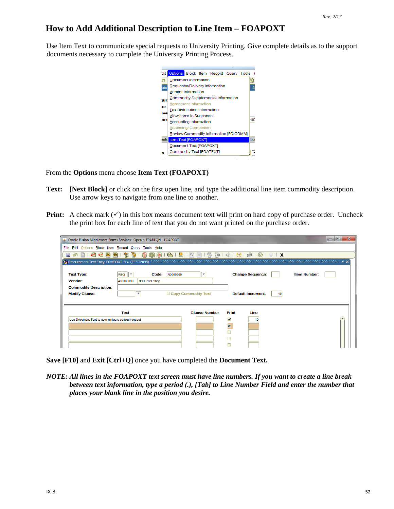## **How to Add Additional Description to Line Item – FOAPOXT**

Use Item Text to communicate special requests to University Printing. Give complete details as to the support documents necessary to complete the University Printing Process.



From the **Options** menu choose **Item Text (FOAPOXT)**

- **Text: [Next Block]** or click on the first open line, and type the additional line item commodity description. Use arrow keys to navigate from one line to another.
- **Print:** A check mark  $(\checkmark)$  in this box means document text will print on hard copy of purchase order. Uncheck the print box for each line of text that you do not want printed on the purchase order.

|                                                        | S Oracle Fusion Middleware Forms Services: Open > FPAREQN - FOAPOXT |                          |                         |                           |                     | $\Box$<br>o |
|--------------------------------------------------------|---------------------------------------------------------------------|--------------------------|-------------------------|---------------------------|---------------------|-------------|
| File Edit Options Block Item Record Query Tools Help   |                                                                     |                          |                         |                           |                     |             |
| 相相固同<br>H<br>- 131                                     |                                                                     |                          |                         |                           |                     |             |
|                                                        |                                                                     |                          |                         |                           |                     |             |
| <b>Text Type:</b><br>Vendor:                           | Code:<br>R0000200<br><b>REQ</b><br>400000000<br>NSU Print Shop      | $\overline{\phantom{a}}$ |                         | <b>Change Sequence:</b>   | <b>Item Number:</b> |             |
| <b>Commodity Description:</b><br><b>Modify Clause:</b> | $\overline{\phantom{a}}$                                            | Copy Commodity Text      |                         | <b>Default Increment:</b> |                     |             |
|                                                        | Text                                                                | <b>Clause Number</b>     | Print                   | Line                      |                     |             |
| Use Document Text to communicate special request       |                                                                     |                          | $\overline{\mathbf{v}}$ | 10                        |                     |             |
|                                                        |                                                                     |                          | $\overline{\mathbf{v}}$ |                           |                     |             |
|                                                        |                                                                     |                          |                         |                           |                     |             |
|                                                        |                                                                     |                          |                         |                           |                     |             |

**Save [F10]** and **Exit [Ctrl+Q]** once you have completed the **Document Text.**

*NOTE: All lines in the FOAPOXT text screen must have line numbers. If you want to create a line break between text information, type a period (.), [Tab] to Line Number Field and enter the number that places your blank line in the position you desire.*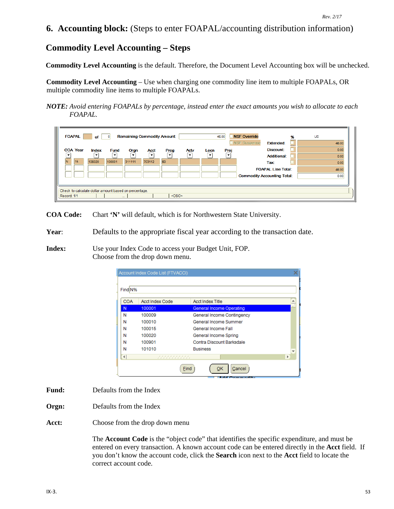## **6. Accounting block:** (Steps to enter FOAPAL/accounting distribution information)

## **Commodity Level Accounting – Steps**

**Commodity Level Accounting** is the default. Therefore, the Document Level Accounting box will be unchecked.

**Commodity Level Accounting** – Use when charging one commodity line item to multiple FOAPALs, OR multiple commodity line items to multiple FOAPALs.

*NOTE: Avoid entering FOAPALs by percentage, instead enter the exact amounts you wish to allocate to each FOAPAL.*



**COA Code:** Chart **'N'** will default, which is for Northwestern State University.

**Year**: Defaults to the appropriate fiscal year according to the transaction date.

**Index:** Use your Index Code to access your Budget Unit, FOP. Choose from the drop down menu.

|                      | Account Index Code List (FTVACCI)      |                                 |   |
|----------------------|----------------------------------------|---------------------------------|---|
|                      |                                        |                                 |   |
| Find N%              |                                        |                                 |   |
| <b>COA</b>           | <b>Acct Index Code</b>                 | <b>Acct Index Title</b>         |   |
| N                    | 100001                                 | <b>General Income Operating</b> |   |
| Ν                    | 100009                                 | General Income Contingency      |   |
| Ν                    | 100010                                 | General Income Summer           |   |
| N                    | 100015                                 | General Income Fall             |   |
| N                    | 100020                                 | General Income Spring           |   |
| N                    | 100901                                 | Contra Discount Barksdale       |   |
| N                    | 101010                                 | <b>Business</b>                 | v |
| $\blacktriangleleft$ | ,,,,,,,,,,,<br>, , , , , , , , , , , , | Þ                               |   |
|                      | Find                                   | Cancel<br>ок                    |   |

- **Fund:** Defaults from the Index
- **Orgn:** Defaults from the Index
- **Acct:** Choose from the drop down menu

The **Account Code** is the "object code" that identifies the specific expenditure, and must be entered on every transaction. A known account code can be entered directly in the **Acct** field. If you don't know the account code, click the **Search** icon next to the **Acct** field to locate the correct account code.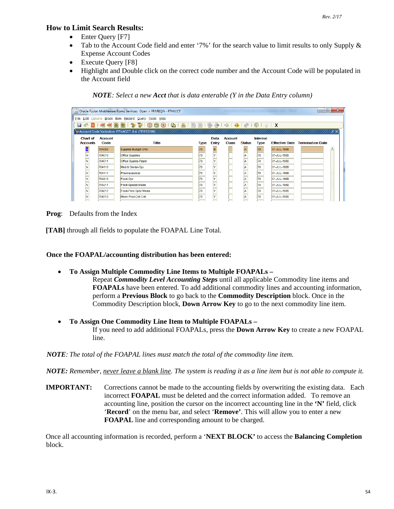#### **How to Limit Search Results:**

- Enter Query [F7]
- Tab to the Account Code field and enter '7%' for the search value to limit results to only Supply & Expense Account Codes
- Execute Query [F8]
- Highlight and Double click on the correct code number and the Account Code will be populated in the Account field

*NOTE: Select a new Acct that is data enterable (Y in the Data Entry column)*

|                 |                | △ Oracle Fusion Middleware Forms Services: Open > FPAREQN - FTVACCT |             |       |                |                         |             |             | $\Box$<br>$\Box$                       |  |
|-----------------|----------------|---------------------------------------------------------------------|-------------|-------|----------------|-------------------------|-------------|-------------|----------------------------------------|--|
|                 |                | File Edit Options Block Item Record Query Tools Help                |             |       |                |                         |             |             |                                        |  |
|                 |                |                                                                     |             |       |                |                         |             |             |                                        |  |
|                 |                |                                                                     |             |       |                |                         |             |             |                                        |  |
| <b>Chart of</b> | <b>Account</b> |                                                                     |             | Data  | <b>Account</b> |                         | Internal    |             |                                        |  |
| <b>Accounts</b> | Code           | <b>Title</b>                                                        | <b>Type</b> | Entry | <b>Class</b>   | <b>Status</b>           | <b>Type</b> |             | <b>Effective Date Termination Date</b> |  |
|                 | 704000         | Supplies Budget Only                                                | 73          | B     |                |                         | 70          | 01-JUL-1989 |                                        |  |
|                 | 704010         | <b>Office Supplies</b>                                              | 73          | İγ    |                | lA.                     | 70          | 01-JUL-1989 |                                        |  |
| ℼ               | 704011         | Office Suplies-Paper                                                | 73          | İγ    |                | $\overline{\mathsf{A}}$ | 70          | 01-JUL-1989 |                                        |  |
| ΙN              | 704110         | Med & Dental-Opr                                                    | 73          | lY    |                | İΑ                      | 170         | 01-JUL-1989 |                                        |  |
| lN.             | 704111         | Pharmaceutical                                                      | 73          | lv    |                | la.                     | 70          | 01-JUL-1989 |                                        |  |
| N               | 704210         | Food-Opr                                                            | 73          | l۷    |                | A                       | 70          | 01-JUL-1989 |                                        |  |
| N               | 704211         | <b>Food-Special Meals</b>                                           | 73          | lY    |                | İΑ                      | 170         | 01-JUL-1989 |                                        |  |
|                 | 704212         | <b>Food-Pres Spec Meals</b>                                         | 73          | l۷    |                | ΙA                      | 70          | 01-JUL-1989 |                                        |  |
|                 | 704310         | Motor Pool-Coll Cntl                                                | 73          |       |                |                         | 70          | 01-JUL-1989 |                                        |  |
|                 |                |                                                                     |             |       |                |                         |             |             |                                        |  |

**Prog**: Defaults from the Index

**[TAB]** through all fields to populate the FOAPAL Line Total.

**Once the FOAPAL/accounting distribution has been entered:**

• **To Assign Multiple Commodity Line Items to Multiple FOAPALs –**

Repeat *Commodity Level Accounting Steps* until all applicable Commodity line items and **FOAPALs** have been entered. To add additional commodity lines and accounting information, perform a **Previous Block** to go back to the **Commodity Description** block. Once in the Commodity Description block, **Down Arrow Key** to go to the next commodity line item.

• **To Assign One Commodity Line Item to Multiple FOAPALs –** If you need to add additional FOAPALs, press the **Down Arrow Key** to create a new FOAPAL line.

*NOTE: The total of the FOAPAL lines must match the total of the commodity line item.*

*NOTE: Remember, never leave a blank line. The system is reading it as a line item but is not able to compute it.* 

**IMPORTANT:** Corrections cannot be made to the accounting fields by overwriting the existing data. Each incorrect **FOAPAL** must be deleted and the correct information added. To remove an accounting line, position the cursor on the incorrect accounting line in the **'N'** field, click '**Record**' on the menu bar, and select '**Remove'**. This will allow you to enter a new **FOAPAL** line and corresponding amount to be charged.

Once all accounting information is recorded, perform a '**NEXT BLOCK'** to access the **Balancing Completion** block.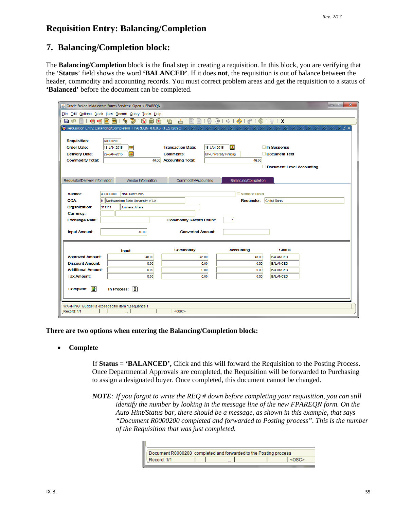## **Requisition Entry: Balancing/Completion**

#### **7. Balancing/Completion block:**

The **Balancing/Completion** block is the final step in creating a requisition. In this block, you are verifying that the '**Status**' field shows the word **'BALANCED'**. If it does **not**, the requisition is out of balance between the header, commodity and accounting records. You must correct problem areas and get the requisition to a status of **'Balanced'** before the document can be completed.

| $-10$<br>$\mathbf{x}$<br>△ Oracle Fusion Middleware Forms Services: Open > FPAREQN |                                       |                               |                               |                      |                                                                                                                         |  |  |
|------------------------------------------------------------------------------------|---------------------------------------|-------------------------------|-------------------------------|----------------------|-------------------------------------------------------------------------------------------------------------------------|--|--|
| File Edit Options Block Item Record Query Tools Help                               |                                       |                               |                               |                      |                                                                                                                         |  |  |
| 自旧伯曰曰<br>日の                                                                        | 御                                     | 219191914114 中国国 191814 91918 |                               |                      |                                                                                                                         |  |  |
|                                                                                    |                                       |                               |                               |                      | <b>(All Requisition Entry: Balancing/Completion FPAREQN 8.6.0.3 (TEST2095)</b> かかかかかかかかかかかかかかかかかかかかかかかかかかかかかかかい ビング こころ |  |  |
|                                                                                    |                                       |                               |                               |                      |                                                                                                                         |  |  |
| <b>Requisition:</b>                                                                | R0000200                              |                               |                               |                      |                                                                                                                         |  |  |
| <b>Order Date:</b>                                                                 | 15-JAN-2015<br>H.                     | <b>Transaction Date:</b>      | Ħ<br>15-JAN-2015              |                      | □ In Suspense                                                                                                           |  |  |
| <b>Delivery Date:</b>                                                              | $\blacksquare$<br>22-JAN-2015         | <b>Comments:</b>              | <b>UP-University Printing</b> |                      | Document Text                                                                                                           |  |  |
| <b>Commodity Total:</b>                                                            | 46.00                                 | <b>Accounting Total:</b>      |                               | 46.00                |                                                                                                                         |  |  |
|                                                                                    |                                       |                               |                               |                      | Document Level Accounting                                                                                               |  |  |
| Requestor/Delivery Information                                                     | Vendor Information                    | Commodity/Accounting          |                               | Balancing/Completion |                                                                                                                         |  |  |
|                                                                                    |                                       |                               |                               |                      |                                                                                                                         |  |  |
| Vendor:                                                                            | 400000000<br>NSU Print Shop           |                               |                               | Vendor Hold          |                                                                                                                         |  |  |
| <b>COA:</b>                                                                        | N Northwestern State University of LA |                               |                               | <b>Requestor:</b>    | Christi Sarpy                                                                                                           |  |  |
| Organization:                                                                      | 311111<br><b>Business Affairs</b>     |                               |                               |                      |                                                                                                                         |  |  |
| <b>Currency:</b>                                                                   |                                       |                               |                               |                      |                                                                                                                         |  |  |
| <b>Commodity Record Count:</b><br><b>Exchange Rate:</b>                            |                                       |                               |                               |                      |                                                                                                                         |  |  |
|                                                                                    |                                       |                               |                               |                      |                                                                                                                         |  |  |
| <b>Input Amount:</b>                                                               | 46.00<br><b>Converted Amount:</b>     |                               |                               |                      |                                                                                                                         |  |  |
|                                                                                    |                                       |                               |                               |                      |                                                                                                                         |  |  |
|                                                                                    | <b>Input</b>                          | <b>Commodity</b>              |                               | <b>Accounting</b>    | <b>Status</b>                                                                                                           |  |  |
| <b>Approved Amount:</b>                                                            | 46.00                                 | 46.00                         |                               | 46.00                | <b>BALANCED</b>                                                                                                         |  |  |
| <b>Discount Amount:</b>                                                            | 0.00                                  |                               | 0.00                          | 0.00                 | <b>BALANCED</b>                                                                                                         |  |  |
| <b>Additional Amount:</b>                                                          | 0.00                                  |                               | 0.00                          | 0.00                 | <b>BALANCED</b>                                                                                                         |  |  |
| <b>Tax Amount:</b>                                                                 | 0.00                                  |                               | 0.00                          | 0.00                 | <b>BALANCED</b>                                                                                                         |  |  |
| 國<br>图<br><b>Complete:</b><br>In Process:                                          |                                       |                               |                               |                      |                                                                                                                         |  |  |
|                                                                                    |                                       |                               |                               |                      |                                                                                                                         |  |  |
|                                                                                    |                                       |                               |                               |                      |                                                                                                                         |  |  |
| WARNING : Budget is exceeded for item 1, sequence 1<br><0SC>                       |                                       |                               |                               |                      |                                                                                                                         |  |  |
| Record: 1/1                                                                        |                                       |                               |                               |                      |                                                                                                                         |  |  |

**There are two options when entering the Balancing/Completion block:**

m

#### • **Complete**

If **Status** = **'BALANCED',** Click and this will forward the Requisition to the Posting Process. Once Departmental Approvals are completed, the Requisition will be forwarded to Purchasing to assign a designated buyer. Once completed, this document cannot be changed.

*NOTE: If you forgot to write the REQ # down before completing your requisition, you can still identify the number by looking in the message line of the new FPAREQN form. On the Auto Hint/Status bar, there should be a message, as shown in this example, that says "Document R0000200 completed and forwarded to Posting process". This is the number of the Requisition that was just completed.*

| Document R0000200 completed and forwarded to the Posting process |        |  |
|------------------------------------------------------------------|--------|--|
| Record: 1/1                                                      | $\sim$ |  |
|                                                                  |        |  |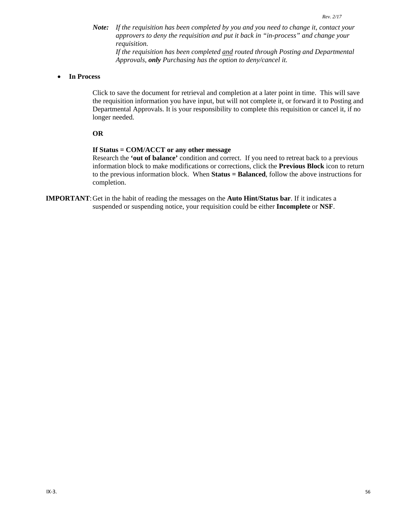*Note: If the requisition has been completed by you and you need to change it, contact your approvers to deny the requisition and put it back in "in-process" and change your requisition. If the requisition has been completed and routed through Posting and Departmental* 

*Approvals, only Purchasing has the option to deny/cancel it.* 

#### • **In Process**

Click to save the document for retrieval and completion at a later point in time. This will save the requisition information you have input, but will not complete it, or forward it to Posting and Departmental Approvals. It is your responsibility to complete this requisition or cancel it, if no longer needed.

#### **OR**

#### **If Status = COM/ACCT or any other message**

Research the **'out of balance'** condition and correct. If you need to retreat back to a previous information block to make modifications or corrections, click the **Previous Block** icon to return to the previous information block. When **Status = Balanced**, follow the above instructions for completion.

**IMPORTANT**:Get in the habit of reading the messages on the **Auto Hint/Status bar**. If it indicates a suspended or suspending notice, your requisition could be either **Incomplete** or **NSF**.